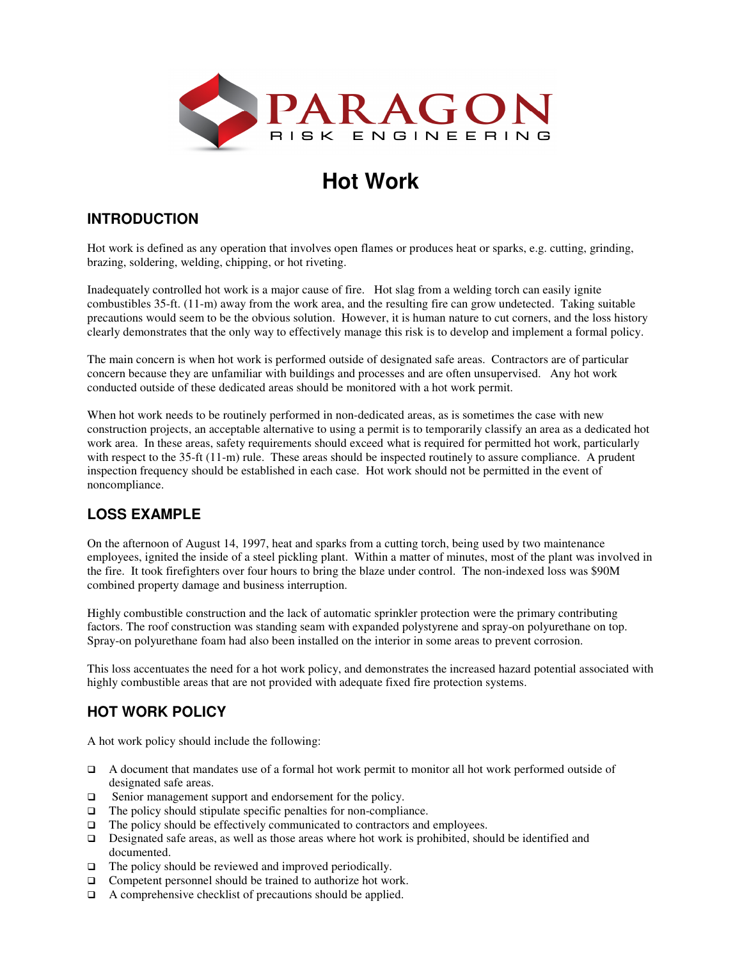

### **Hot Work**

#### **INTRODUCTION**

Hot work is defined as any operation that involves open flames or produces heat or sparks, e.g. cutting, grinding, brazing, soldering, welding, chipping, or hot riveting.

Inadequately controlled hot work is a major cause of fire. Hot slag from a welding torch can easily ignite combustibles 35-ft. (11-m) away from the work area, and the resulting fire can grow undetected. Taking suitable precautions would seem to be the obvious solution. However, it is human nature to cut corners, and the loss history clearly demonstrates that the only way to effectively manage this risk is to develop and implement a formal policy.

The main concern is when hot work is performed outside of designated safe areas. Contractors are of particular concern because they are unfamiliar with buildings and processes and are often unsupervised. Any hot work conducted outside of these dedicated areas should be monitored with a hot work permit.

When hot work needs to be routinely performed in non-dedicated areas, as is sometimes the case with new construction projects, an acceptable alternative to using a permit is to temporarily classify an area as a dedicated hot work area. In these areas, safety requirements should exceed what is required for permitted hot work, particularly with respect to the 35-ft (11-m) rule. These areas should be inspected routinely to assure compliance. A prudent inspection frequency should be established in each case. Hot work should not be permitted in the event of noncompliance.

#### **LOSS EXAMPLE**

On the afternoon of August 14, 1997, heat and sparks from a cutting torch, being used by two maintenance employees, ignited the inside of a steel pickling plant. Within a matter of minutes, most of the plant was involved in the fire. It took firefighters over four hours to bring the blaze under control. The non-indexed loss was \$90M combined property damage and business interruption.

Highly combustible construction and the lack of automatic sprinkler protection were the primary contributing factors. The roof construction was standing seam with expanded polystyrene and spray-on polyurethane on top. Spray-on polyurethane foam had also been installed on the interior in some areas to prevent corrosion.

This loss accentuates the need for a hot work policy, and demonstrates the increased hazard potential associated with highly combustible areas that are not provided with adequate fixed fire protection systems.

#### **HOT WORK POLICY**

A hot work policy should include the following:

- A document that mandates use of a formal hot work permit to monitor all hot work performed outside of designated safe areas.
- □ Senior management support and endorsement for the policy.
- $\Box$  The policy should stipulate specific penalties for non-compliance.
- $\Box$  The policy should be effectively communicated to contractors and employees.
- Designated safe areas, as well as those areas where hot work is prohibited, should be identified and documented.
- $\Box$  The policy should be reviewed and improved periodically.
- □ Competent personnel should be trained to authorize hot work.
- $\Box$  A comprehensive checklist of precautions should be applied.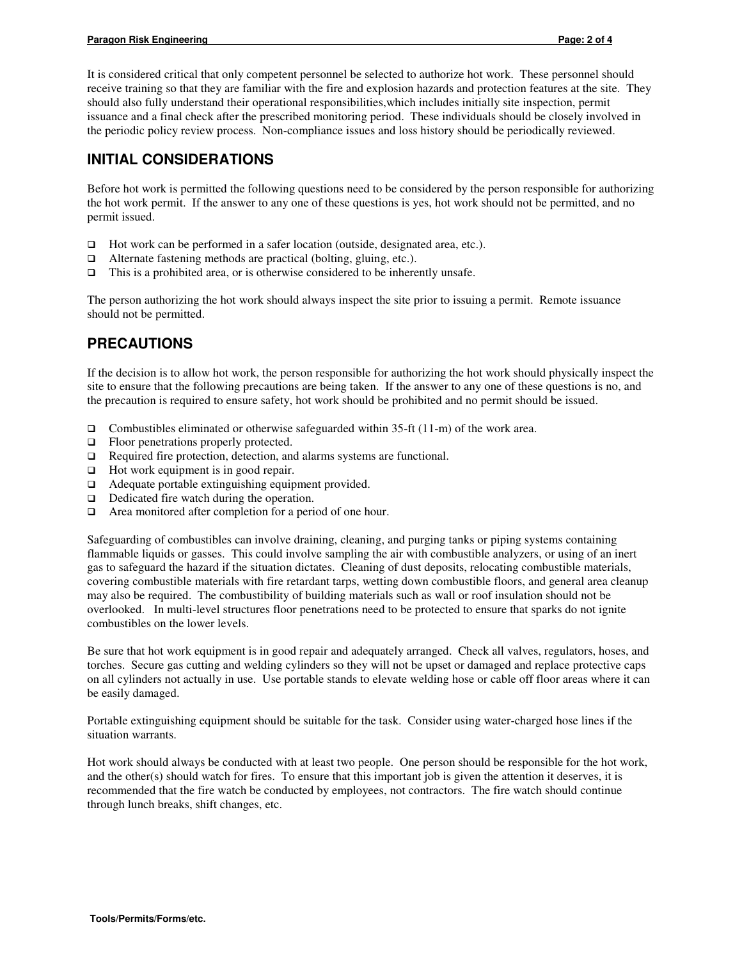It is considered critical that only competent personnel be selected to authorize hot work. These personnel should receive training so that they are familiar with the fire and explosion hazards and protection features at the site. They should also fully understand their operational responsibilities,which includes initially site inspection, permit issuance and a final check after the prescribed monitoring period. These individuals should be closely involved in the periodic policy review process. Non-compliance issues and loss history should be periodically reviewed.

#### **INITIAL CONSIDERATIONS**

Before hot work is permitted the following questions need to be considered by the person responsible for authorizing the hot work permit. If the answer to any one of these questions is yes, hot work should not be permitted, and no permit issued.

- □ Hot work can be performed in a safer location (outside, designated area, etc.).
- $\Box$  Alternate fastening methods are practical (bolting, gluing, etc.).
- $\Box$  This is a prohibited area, or is otherwise considered to be inherently unsafe.

The person authorizing the hot work should always inspect the site prior to issuing a permit. Remote issuance should not be permitted.

#### **PRECAUTIONS**

If the decision is to allow hot work, the person responsible for authorizing the hot work should physically inspect the site to ensure that the following precautions are being taken. If the answer to any one of these questions is no, and the precaution is required to ensure safety, hot work should be prohibited and no permit should be issued.

- Combustibles eliminated or otherwise safeguarded within 35-ft  $(11-m)$  of the work area.
- $\Box$  Floor penetrations properly protected.
- □ Required fire protection, detection, and alarms systems are functional.
- $\Box$  Hot work equipment is in good repair.
- Adequate portable extinguishing equipment provided.
- $\Box$  Dedicated fire watch during the operation.
- Area monitored after completion for a period of one hour.

Safeguarding of combustibles can involve draining, cleaning, and purging tanks or piping systems containing flammable liquids or gasses. This could involve sampling the air with combustible analyzers, or using of an inert gas to safeguard the hazard if the situation dictates. Cleaning of dust deposits, relocating combustible materials, covering combustible materials with fire retardant tarps, wetting down combustible floors, and general area cleanup may also be required. The combustibility of building materials such as wall or roof insulation should not be overlooked. In multi-level structures floor penetrations need to be protected to ensure that sparks do not ignite combustibles on the lower levels.

Be sure that hot work equipment is in good repair and adequately arranged. Check all valves, regulators, hoses, and torches. Secure gas cutting and welding cylinders so they will not be upset or damaged and replace protective caps on all cylinders not actually in use. Use portable stands to elevate welding hose or cable off floor areas where it can be easily damaged.

Portable extinguishing equipment should be suitable for the task. Consider using water-charged hose lines if the situation warrants.

Hot work should always be conducted with at least two people. One person should be responsible for the hot work, and the other(s) should watch for fires. To ensure that this important job is given the attention it deserves, it is recommended that the fire watch be conducted by employees, not contractors. The fire watch should continue through lunch breaks, shift changes, etc.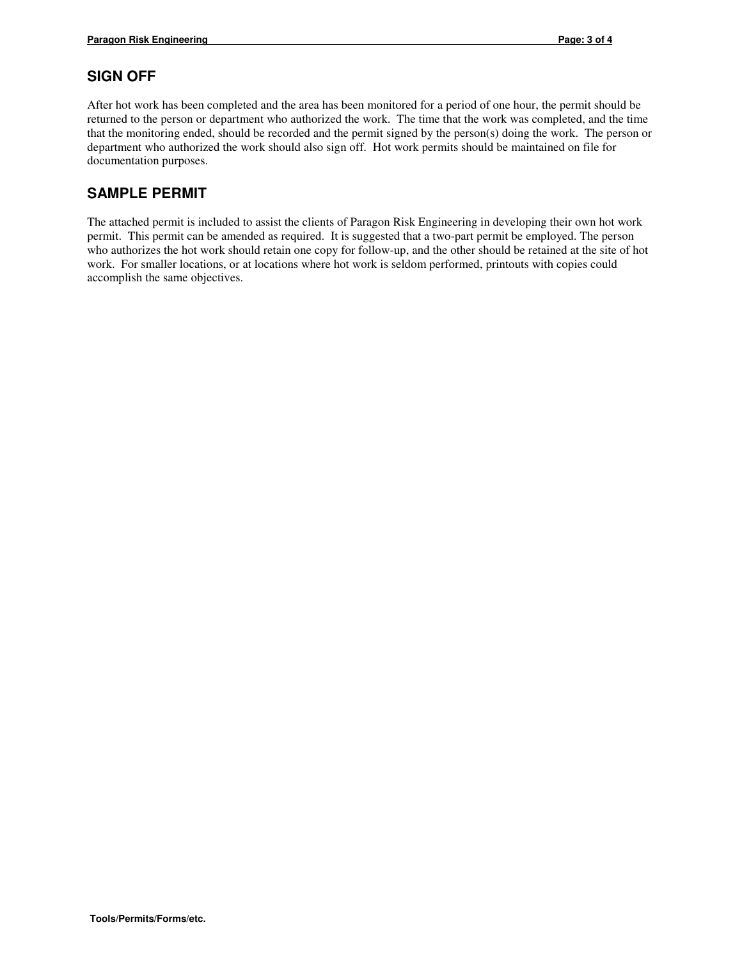#### **SIGN OFF**

After hot work has been completed and the area has been monitored for a period of one hour, the permit should be returned to the person or department who authorized the work. The time that the work was completed, and the time that the monitoring ended, should be recorded and the permit signed by the person(s) doing the work. The person or department who authorized the work should also sign off. Hot work permits should be maintained on file for documentation purposes.

#### **SAMPLE PERMIT**

The attached permit is included to assist the clients of Paragon Risk Engineering in developing their own hot work permit. This permit can be amended as required. It is suggested that a two-part permit be employed. The person who authorizes the hot work should retain one copy for follow-up, and the other should be retained at the site of hot work. For smaller locations, or at locations where hot work is seldom performed, printouts with copies could accomplish the same objectives.